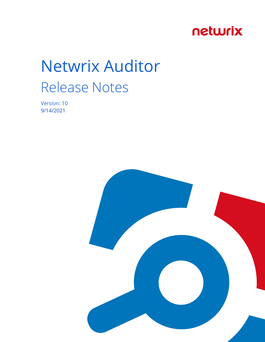## netwrix

# Netwrix Auditor Release Notes

Version: 10 9/14/2021

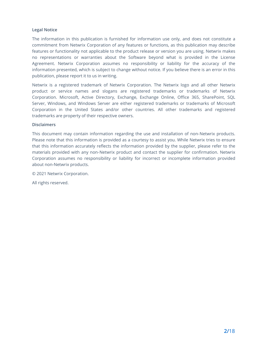#### **Legal Notice**

The information in this publication is furnished for information use only, and does not constitute a commitment from Netwrix Corporation of any features or functions, as this publication may describe features or functionality not applicable to the product release or version you are using. Netwrix makes no representations or warranties about the Software beyond what is provided in the License Agreement. Netwrix Corporation assumes no responsibility or liability for the accuracy of the information presented, which is subject to change without notice. If you believe there is an error in this publication, please report it to us in writing.

Netwrix is a registered trademark of Netwrix Corporation. The Netwrix logo and all other Netwrix product or service names and slogans are registered trademarks or trademarks of Netwrix Corporation. Microsoft, Active Directory, Exchange, Exchange Online, Office 365, SharePoint, SQL Server, Windows, and Windows Server are either registered trademarks or trademarks of Microsoft Corporation in the United States and/or other countries. All other trademarks and registered trademarks are property of their respective owners.

#### **Disclaimers**

This document may contain information regarding the use and installation of non-Netwrix products. Please note that this information is provided as a courtesy to assist you. While Netwrix tries to ensure that this information accurately reflects the information provided by the supplier, please refer to the materials provided with any non-Netwrix product and contact the supplier for confirmation. Netwrix Corporation assumes no responsibility or liability for incorrect or incomplete information provided about non-Netwrix products.

© 2021 Netwrix Corporation.

All rights reserved.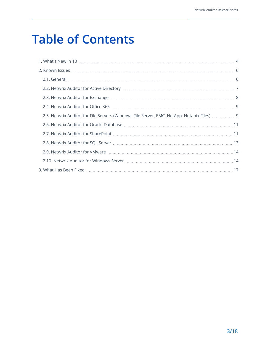## **Table of Contents**

| 2.5. Netwrix Auditor for File Servers (Windows File Server, EMC, NetApp, Nutanix Files)  9 |  |
|--------------------------------------------------------------------------------------------|--|
|                                                                                            |  |
|                                                                                            |  |
|                                                                                            |  |
|                                                                                            |  |
|                                                                                            |  |
|                                                                                            |  |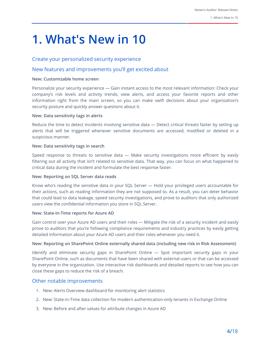## <span id="page-3-0"></span>**1. What's New in 10**

#### Create your personalized security experience

#### New features and improvements you'll get excited about

#### **New: Customizable home screen**

Personalize your security experience — Gain instant access to the most relevant information: Check your company's risk levels and activity trends, view alerts, and access your favorite reports and other information right from the main screen, so you can make swift decisions about your organization's security posture and quickly answer questions about it.

#### **New: Data sensitivity tags in alerts**

Reduce the time to detect incidents involving sensitive data — Detect critical threats faster by setting up alerts that will be triggered whenever sensitive documents are accessed, modified or deleted in a suspicious manner.

#### **New: Data sensitivity tags in search**

Speed response to threats to sensitive data — Make security investigations more efficient by easily filtering out all activity that isn't related to sensitive data. That way, you can focus on what happened to critical data during the incident and formulate the best response faster.

#### **New: Reporting on SQL Server data reads**

Know who's reading the sensitive data in your SQL Server — Hold your privileged users accountable for their actions, such as reading information they are not supposed to. As a result, you can deter behavior that could lead to data leakage, speed security investigations, and prove to auditors that only authorized users view the confidential information you store in SQL Server.

#### **New: State-in-Time reports for Azure AD**

Gain control over your Azure AD users and their roles — Mitigate the risk of a security incident and easily prove to auditors that you're following compliance requirements and industry practices by easily getting detailed information about your Azure AD users and their roles whenever you need it.

#### **New: Reporting on SharePoint Online externally shared data (including new risk in Risk Assessment)**

Identify and eliminate security gaps in SharePoint Online — Spot important security gaps in your SharePoint Online, such as documents that have been shared with external users or that can be accessed by everyone in the organization. Use interactive risk dashboards and detailed reports to see how you can close these gaps to reduce the risk of a breach.

#### Other notable improvements

- 1. New: Alerts Overview dashboard for monitoring alert statistics
- 2. New: State-in-Time data collection for modern authentication-only tenants in Exchange Online
- 3. New: Before and after values for attribute changes in Azure AD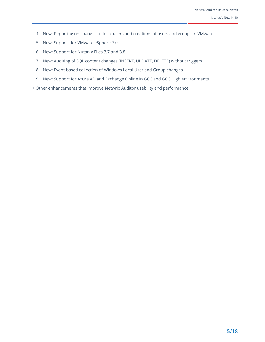- 4. New: Reporting on changes to local users and creations of users and groups in VMware
- 5. New: Support for VMware vSphere 7.0
- 6. New: Support for Nutanix Files 3.7 and 3.8
- 7. New: Auditing of SQL content changes (INSERT, UPDATE, DELETE) without triggers
- 8. New: Event-based collection of Windows Local User and Group changes
- 9. New: Support for Azure AD and Exchange Online in GCC and GCC High environments
- + Other enhancements that improve Netwrix Auditor usability and performance.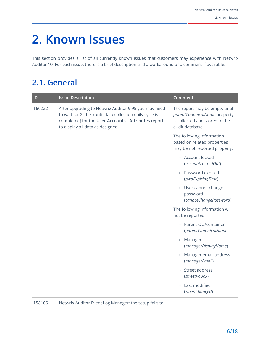<span id="page-5-1"></span><span id="page-5-0"></span>This section provides a list of all currently known issues that customers may experience with Netwrix Auditor 10. For each issue, there is a brief description and a workaround or a comment if available.

## **2.1. General**

| ID     | <b>Issue Description</b>                                                                                                                                                                                     | Comment                                                                                                            |
|--------|--------------------------------------------------------------------------------------------------------------------------------------------------------------------------------------------------------------|--------------------------------------------------------------------------------------------------------------------|
| 160222 | After upgrading to Netwrix Auditor 9.95 you may need<br>to wait for 24 hrs (until data collection daily cycle is<br>completed) for the User Accounts - Attributes report<br>to display all data as designed. | The report may be empty until<br>parentCanonicalName property<br>is collected and stored to the<br>audit database. |
|        |                                                                                                                                                                                                              | The following information<br>based on related properties<br>may be not reported properly:                          |
|        |                                                                                                                                                                                                              | ○ Account locked<br>(accountLockedOut)                                                                             |
|        |                                                                                                                                                                                                              | • Password expired<br>(pwdExpiringTime)                                                                            |
|        |                                                                                                                                                                                                              | <b>o</b> User cannot change<br>password<br>(cannotChangePassword)                                                  |
|        |                                                                                                                                                                                                              | The following information will<br>not be reported:                                                                 |
|        |                                                                                                                                                                                                              | ○ Parent OU/container<br>(parentCanonicalName)                                                                     |
|        |                                                                                                                                                                                                              | Manager<br>$\circ$<br>(managerDisplayName)                                                                         |
|        |                                                                                                                                                                                                              | Manager email address<br>(managerEmail)                                                                            |
|        |                                                                                                                                                                                                              | Street address<br>$\circ$<br>(streetPoBox)                                                                         |
|        |                                                                                                                                                                                                              | Last modified<br>$\circ$<br>(whenChanged)                                                                          |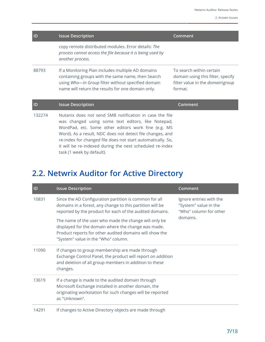| ID     | <b>Issue Description</b>                                                                                                                                                                                                                                                                                                                                     | Comment                                                                                                      |
|--------|--------------------------------------------------------------------------------------------------------------------------------------------------------------------------------------------------------------------------------------------------------------------------------------------------------------------------------------------------------------|--------------------------------------------------------------------------------------------------------------|
|        | copy remote distributed modules. Error details: The<br>process cannot access the file because it is being used by<br>another process.                                                                                                                                                                                                                        |                                                                                                              |
| 88793  | If a Monitoring Plan includes multiple AD domains<br>containing groups with the same name, then Search<br>using Who-In Group filter without specified domain<br>name will return the results for one domain only.                                                                                                                                            | To search within certain<br>domain using this filter, specify<br>filter value in the domain\group<br>format. |
| ID     | <b>Issue Description</b>                                                                                                                                                                                                                                                                                                                                     | Comment                                                                                                      |
| 132274 | Nutanix does not send SMB notification in case the file<br>was changed using some text editors, like Notepad,<br>WordPad, etc. Some other editors work fine (e.g. MS<br>Word). As a result, NDC does not detect file changes, and<br>re-index for changed file does not start automatically. So,<br>it will be re-indexed during the next scheduled re-index |                                                                                                              |

## **2.2. Netwrix Auditor for Active Directory**

<span id="page-6-0"></span>task (1 week by default).

| ID    | <b>Issue Description</b>                                                                                                                                                                                       | Comment                                                                                |
|-------|----------------------------------------------------------------------------------------------------------------------------------------------------------------------------------------------------------------|----------------------------------------------------------------------------------------|
| 10831 | Since the AD Configuration partition is common for all<br>domains in a forest, any change to this partition will be<br>reported by the product for each of the audited domains.                                | Ignore entries with the<br>"System" value in the<br>"Who" column for other<br>domains. |
|       | The name of the user who made the change will only be<br>displayed for the domain where the change was made.<br>Product reports for other audited domains will show the<br>"System" value in the "Who" column. |                                                                                        |
| 11090 | If changes to group membership are made through<br>Exchange Control Panel, the product will report on addition<br>and deletion of all group members in addition to these<br>changes.                           |                                                                                        |
| 13619 | If a change is made to the audited domain through<br>Microsoft Exchange installed in another domain, the<br>originating workstation for such changes will be reported<br>as "Unknown".                         |                                                                                        |
| 14291 | If changes to Active Directory objects are made through                                                                                                                                                        |                                                                                        |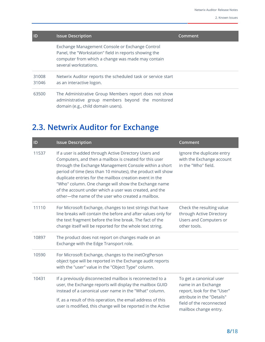| ID             | <b>Issue Description</b>                                                                                                                                                               | Comment |
|----------------|----------------------------------------------------------------------------------------------------------------------------------------------------------------------------------------|---------|
|                | Exchange Management Console or Exchange Control<br>Panel, the "Workstation" field in reports showing the<br>computer from which a change was made may contain<br>several workstations. |         |
| 31008<br>31046 | Netwrix Auditor reports the scheduled task or service start<br>as an interactive logon.                                                                                                |         |
| 63500          | The Administrative Group Members report does not show<br>administrative group members beyond the monitored<br>domain (e.g., child domain users).                                       |         |

## <span id="page-7-0"></span>**2.3. Netwrix Auditor for Exchange**

| ID    | <b>Issue Description</b>                                                                                                                                                                                                                                                                                                                                                                                                                                                    | <b>Comment</b>                                                                                  |
|-------|-----------------------------------------------------------------------------------------------------------------------------------------------------------------------------------------------------------------------------------------------------------------------------------------------------------------------------------------------------------------------------------------------------------------------------------------------------------------------------|-------------------------------------------------------------------------------------------------|
| 11537 | If a user is added through Active Directory Users and<br>Computers, and then a mailbox is created for this user<br>through the Exchange Management Console within a short<br>period of time (less than 10 minutes), the product will show<br>duplicate entries for the mailbox creation event in the<br>"Who" column. One change will show the Exchange name<br>of the account under which a user was created, and the<br>other-the name of the user who created a mailbox. | Ignore the duplicate entry<br>with the Exchange account<br>in the "Who" field.                  |
| 11110 | For Microsoft Exchange, changes to text strings that have<br>line breaks will contain the before and after values only for<br>the text fragment before the line break. The fact of the<br>change itself will be reported for the whole text string.                                                                                                                                                                                                                         | Check the resulting value<br>through Active Directory<br>Users and Computers or<br>other tools. |
| 10897 | The product does not report on changes made on an<br>Exchange with the Edge Transport role.                                                                                                                                                                                                                                                                                                                                                                                 |                                                                                                 |
| 10590 | For Microsoft Exchange, changes to the inetOrgPerson<br>object type will be reported in the Exchange audit reports<br>with the "user" value in the "Object Type" column.                                                                                                                                                                                                                                                                                                    |                                                                                                 |
| 10431 | If a previously disconnected mailbox is reconnected to a<br>user, the Exchange reports will display the mailbox GUID<br>instead of a canonical user name in the "What" column.                                                                                                                                                                                                                                                                                              | To get a canonical user<br>name in an Exchange<br>report, look for the "User"                   |
|       | If, as a result of this operation, the email address of this<br>user is modified, this change will be reported in the Active                                                                                                                                                                                                                                                                                                                                                | attribute in the "Details"<br>field of the reconnected<br>mailbox change entry.                 |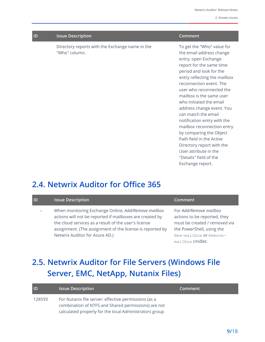| ID | <b>Issue Description</b>                                         | Comment                                                                        |
|----|------------------------------------------------------------------|--------------------------------------------------------------------------------|
|    | Directory reports with the Exchange name in the<br>"Who" column. | To get the "Who" value for<br>the email address change<br>entry, open Exchange |
|    |                                                                  | report for the same time                                                       |

report for the same time period and look for the entry reflecting the mailbox reconnection event. The user who reconnected the mailbox is the same user who initiated the email address change event. You can match the email notification entry with the mailbox reconnection entry by comparing the Object Path field in the Active Directory report with the User attribute in the "Details" field of the Exchange report.

### <span id="page-8-0"></span>**2.4. Netwrix Auditor for Office 365**

| ID | <b>Issue Description</b>                                                                                                                                                                                                                                               | Comment                                                                                                                                                           |
|----|------------------------------------------------------------------------------------------------------------------------------------------------------------------------------------------------------------------------------------------------------------------------|-------------------------------------------------------------------------------------------------------------------------------------------------------------------|
|    | When monitoring Exchange Online, Add/Remove mailbox<br>actions will not be reported if mailboxes are created by<br>the cloud services as a result of the user's license<br>assignment. (The assignment of the license is reported by<br>Netwrix Auditor for Azure AD.) | For Add/Remove mailbox<br>actions to be reported, they<br>must be created / removed via<br>the PowerShell, using the<br>New-mailbox Of Remove-<br>mailbox cmdlet. |

## <span id="page-8-1"></span>**2.5. Netwrix Auditor for File Servers (Windows File Server, EMC, NetApp, Nutanix Files)**

| <b>ID</b> | <b>Issue Description</b>                                                                                    | Comment |
|-----------|-------------------------------------------------------------------------------------------------------------|---------|
| 128593    | For Nutanix file server: effective permissions (as a<br>combination of NTFS and Shared permissions) are not |         |
|           | calculated properly for the local Administrators group                                                      |         |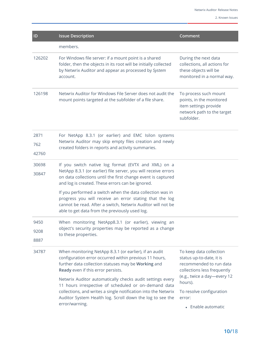| ID                   | <b>Issue Description</b>                                                                                                                                                                                                                                           | Comment                                                                                                                |
|----------------------|--------------------------------------------------------------------------------------------------------------------------------------------------------------------------------------------------------------------------------------------------------------------|------------------------------------------------------------------------------------------------------------------------|
|                      | members.                                                                                                                                                                                                                                                           |                                                                                                                        |
| 126202               | For Windows file server: if a mount point is a shared<br>folder, then the objects in its root will be initially collected<br>by Netwrix Auditor and appear as processed by System<br>account.                                                                      | During the next data<br>collections, all actions for<br>these objects will be<br>monitored in a normal way.            |
| 126198               | Netwrix Auditor for Windows File Server does not audit the<br>mount points targeted at the subfolder of a file share.                                                                                                                                              | To process such mount<br>points, in the monitored<br>item settings provide<br>network path to the target<br>subfolder. |
| 2871<br>762<br>42760 | For NetApp 8.3.1 (or earlier) and EMC Isilon systems<br>Netwrix Auditor may skip empty files creation and newly<br>created folders in reports and activity summaries.                                                                                              |                                                                                                                        |
| 30698<br>30847       | If you switch native log format (EVTX and XML) on a<br>NetApp 8.3.1 (or earlier) file server, you will receive errors<br>on data collections until the first change event is captured<br>and log is created. These errors can be ignored.                          |                                                                                                                        |
|                      | If you performed a switch when the data collection was in<br>progress you will receive an error stating that the log<br>cannot be read. After a switch, Netwrix Auditor will not be<br>able to get data from the previously used log.                              |                                                                                                                        |
| 9450<br>9208<br>8887 | When monitoring NetApp8.3.1 (or earlier), viewing an<br>object's security properties may be reported as a change<br>to these properties.                                                                                                                           |                                                                                                                        |
| 34787                | When monitoring NetApp 8.3.1 (or earlier), if an audit<br>configuration error occurred within previous 11 hours,<br>further data collection statuses may be Working and<br>Ready even if this error persists.                                                      | To keep data collection<br>status up-to-date, it is<br>recommended to run data<br>collections less frequently          |
|                      | Netwrix Auditor automatically checks audit settings every<br>11 hours irrespective of scheduled or on-demand data<br>collections, and writes a single notification into the Netwrix<br>Auditor System Health log. Scroll down the log to see the<br>error/warning. | (e.g., twice a day-every 12<br>hours).                                                                                 |
|                      |                                                                                                                                                                                                                                                                    | To resolve configuration<br>error:                                                                                     |
|                      |                                                                                                                                                                                                                                                                    | • Enable automatic                                                                                                     |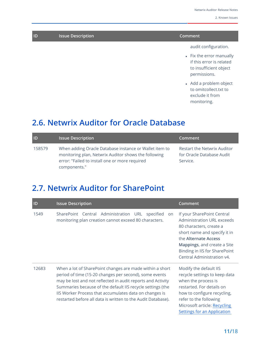| ID | <b>Issue Description</b> | Comment                |
|----|--------------------------|------------------------|
|    |                          | audit configuration.   |
|    |                          | Fiv the error manually |

- $\bullet$  Fix the error manually if this error is related to insufficient object permissions.
- Add a problem object to omitcollect.txt to exclude it from monitoring.

### <span id="page-10-0"></span>**2.6. Netwrix Auditor for Oracle Database**

| D      | Issue Description                                                                                                                                                                | Comment                                                                     |
|--------|----------------------------------------------------------------------------------------------------------------------------------------------------------------------------------|-----------------------------------------------------------------------------|
| 158579 | When adding Oracle Database instance or Wallet item to<br>monitoring plan, Netwrix Auditor shows the following<br>error: "Failed to install one or more required<br>components." | <b>Restart the Netwrix Auditor</b><br>for Oracle Database Audit<br>Service. |

### <span id="page-10-1"></span>**2.7. Netwrix Auditor for SharePoint**

| ID    | <b>Issue Description</b>                                                                                                                                                                                                                                                                                                                                                  | Comment                                                                                                                                                                                                                                   |
|-------|---------------------------------------------------------------------------------------------------------------------------------------------------------------------------------------------------------------------------------------------------------------------------------------------------------------------------------------------------------------------------|-------------------------------------------------------------------------------------------------------------------------------------------------------------------------------------------------------------------------------------------|
| 1549  | SharePoint Central Administration URL<br>specified<br>on<br>monitoring plan creation cannot exceed 80 characters.                                                                                                                                                                                                                                                         | If your SharePoint Central<br>Administration URL exceeds<br>80 characters, create a<br>short name and specify it in<br>the Alternate Access<br>Mappings, and create a Site<br>Binding in IIS for SharePoint<br>Central Administration v4. |
| 12683 | When a lot of SharePoint changes are made within a short<br>period of time (15-20 changes per second), some events<br>may be lost and not reflected in audit reports and Activity<br>Summaries because of the default IIS recycle settings (the<br>IIS Worker Process that accumulates data on changes is<br>restarted before all data is written to the Audit Database). | Modify the default IIS<br>recycle settings to keep data<br>when the process is<br>restarted. For details on<br>how to configure recycling,<br>refer to the following<br>Microsoft article: Recycling<br>Settings for an Application       |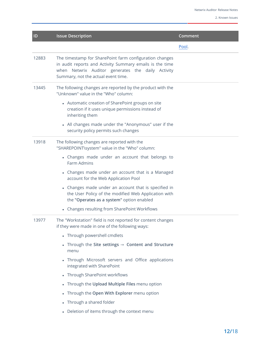| ID    | <b>Issue Description</b>                                                                                                                                                                                        | Comment |
|-------|-----------------------------------------------------------------------------------------------------------------------------------------------------------------------------------------------------------------|---------|
|       |                                                                                                                                                                                                                 | Pool.   |
| 12883 | The timestamp for SharePoint farm configuration changes<br>in audit reports and Activity Summary emails is the time<br>when Netwrix Auditor generates the daily Activity<br>Summary, not the actual event time. |         |
| 13445 | The following changes are reported by the product with the<br>"Unknown" value in the "Who" column:                                                                                                              |         |
|       | • Automatic creation of SharePoint groups on site<br>creation if it uses unique permissions instead of<br>inheriting them                                                                                       |         |
|       | • All changes made under the "Anonymous" user if the<br>security policy permits such changes                                                                                                                    |         |
| 13918 | The following changes are reported with the<br>"SHAREPOINT\system" value in the "Who" column:                                                                                                                   |         |
|       | • Changes made under an account that belongs to<br>Farm Admins                                                                                                                                                  |         |
|       | • Changes made under an account that is a Managed<br>account for the Web Application Pool                                                                                                                       |         |
|       | Changes made under an account that is specified in<br>the User Policy of the modified Web Application with<br>the "Operates as a system" option enabled                                                         |         |
|       | • Changes resulting from SharePoint Workflows                                                                                                                                                                   |         |
| 13977 | The "Workstation" field is not reported for content changes<br>if they were made in one of the following ways:                                                                                                  |         |
|       | • Through powershell cmdlets                                                                                                                                                                                    |         |
|       | • Through the Site settings $\rightarrow$ Content and Structure<br>menu                                                                                                                                         |         |
|       | Through Microsoft servers and Office applications<br>integrated with SharePoint                                                                                                                                 |         |
|       | • Through SharePoint workflows                                                                                                                                                                                  |         |
|       | • Through the Upload Multiple Files menu option                                                                                                                                                                 |         |
|       | • Through the Open With Explorer menu option                                                                                                                                                                    |         |
|       | • Through a shared folder                                                                                                                                                                                       |         |
|       | Deletion of items through the context menu                                                                                                                                                                      |         |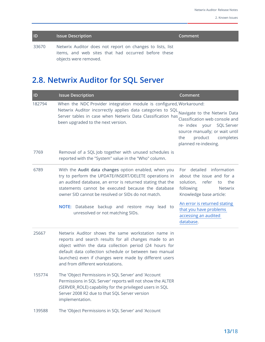| D     | <b>Issue Description</b>                                                                                                                  | Comment |
|-------|-------------------------------------------------------------------------------------------------------------------------------------------|---------|
| 33670 | Netwrix Auditor does not report on changes to lists, list<br>items, and web sites that had occurred before these<br>objects were removed. |         |

## <span id="page-12-0"></span>**2.8. Netwrix Auditor for SQL Server**

| ID     | <b>Issue Description</b>                                                                                                                                                                                                                                                                                                      | Comment                                                                                                                                                                              |
|--------|-------------------------------------------------------------------------------------------------------------------------------------------------------------------------------------------------------------------------------------------------------------------------------------------------------------------------------|--------------------------------------------------------------------------------------------------------------------------------------------------------------------------------------|
| 182794 | When the NDC Provider integration module is configured, Workaround:                                                                                                                                                                                                                                                           |                                                                                                                                                                                      |
|        | Netwrix Auditor incorrectly applies data categories to SQL<br>Server tables in case when Netwrix Data Classification has<br>been upgraded to the next version.                                                                                                                                                                | Navigate to the Netwrix Data<br>Classification web console and<br>re- index your SQL Server<br>source manually; or wait until<br>product<br>completes<br>the<br>planned re-indexing. |
| 7769   | Removal of a SQL Job together with unused schedules is<br>reported with the "System" value in the "Who" column.                                                                                                                                                                                                               |                                                                                                                                                                                      |
| 6789   | With the Audit data changes option enabled, when you<br>try to perform the UPDATE/INSERT/DELETE operations in<br>an audited database, an error is returned stating that the<br>statements cannot be executed because the database<br>owner SID cannot be resolved or SIDs do not match.                                       | detailed information<br>For<br>about the issue and for a<br>solution,<br>refer<br>the<br>to<br>following<br><b>Netwrix</b><br>Knowledge base article:                                |
|        | NOTE: Database backup and restore may lead to<br>unresolved or not matching SIDs.                                                                                                                                                                                                                                             | An error is returned stating<br>that you have problems<br>accessing an audited<br>database.                                                                                          |
| 25667  | Netwrix Auditor shows the same workstation name in<br>reports and search results for all changes made to an<br>object within the data collection period (24 hours for<br>default data collection schedule or between two manual<br>launches) even if changes were made by different users<br>and from different workstations. |                                                                                                                                                                                      |
| 155774 | The 'Object Permissions in SQL Server' and 'Account<br>Permissions in SQL Server' reports will not show the ALTER<br>(SERVER_ROLE) capability for the privileged users in SQL<br>Server 2008 R2 due to that SQL Server version<br>implementation.                                                                             |                                                                                                                                                                                      |
| 139588 | The 'Object Permissions in SQL Server' and 'Account                                                                                                                                                                                                                                                                           |                                                                                                                                                                                      |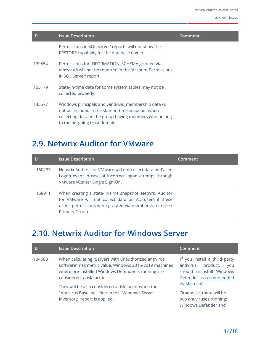| D      | <b>Issue Description</b>                                                                                                                                                                             | Comment |
|--------|------------------------------------------------------------------------------------------------------------------------------------------------------------------------------------------------------|---------|
|        | Permissions in SQL Server' reports will not show the<br>RESTORE capability for the database owner.                                                                                                   |         |
| 139554 | Permissions for INFORMATION_SCHEMA granted via<br>master db will not be reported in the 'Account Permissions<br>in SQL Server' report.                                                               |         |
| 155179 | State-in-time data for some system tables may not be<br>collected properly.                                                                                                                          |         |
| 145577 | Windows principals and windows_membership data will<br>not be included in the state-in-time snapshot when<br>collecting data on the group having members who belong<br>to the outgoing trust domain. |         |

### <span id="page-13-0"></span>**2.9. Netwrix Auditor for VMware**

| <b>IID</b> | <b>Issue Description</b>                                                                                                                                                                      | Comment |
|------------|-----------------------------------------------------------------------------------------------------------------------------------------------------------------------------------------------|---------|
| 160233     | Netwrix Auditor for VMware will not collect data on Failed<br>Logon event in case of incorrect logon attempt through<br>VMware vCenter Single Sign-On.                                        |         |
| 168911     | When creating a state-in-time snapshot, Netwrix Auditor<br>for VMware will not collect data on AD users if these<br>users' permissions were granted via membership in their<br>Primary Group. |         |

### <span id="page-13-1"></span>**2.10. Netwrix Auditor for Windows Server**

| <b>ID</b> | <b>Issue Description</b>                                                                                                                                                                                                                                                                                           | Comment                                                                                                                                                                 |
|-----------|--------------------------------------------------------------------------------------------------------------------------------------------------------------------------------------------------------------------------------------------------------------------------------------------------------------------|-------------------------------------------------------------------------------------------------------------------------------------------------------------------------|
| 134683    | When calculating "Servers with unauthorized antivirus<br>software" risk metric value, Windows 2016/2019 machines<br>where pre-installed Windows Defender is running are<br>considered a risk factor.<br>They will be also considered a risk factor when the<br>"Antivirus Baseline" filter in the "Windows Server" | If you install a third-party<br>antivirus<br>product,<br><b>VOU</b><br>should uninstall Windows<br>Defender as recommended<br>by Microsoft.<br>Otherwise, there will be |
|           | Inventory" report is applied.                                                                                                                                                                                                                                                                                      | two antiviruses running:<br>Windows Defender and                                                                                                                        |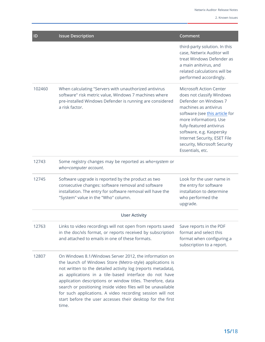| ID                   | <b>Issue Description</b>                                                                                                                                                                                                                                                                                                                                                                                                                                                                                       | Comment                                                                                                                                                                                                                                                                                                               |
|----------------------|----------------------------------------------------------------------------------------------------------------------------------------------------------------------------------------------------------------------------------------------------------------------------------------------------------------------------------------------------------------------------------------------------------------------------------------------------------------------------------------------------------------|-----------------------------------------------------------------------------------------------------------------------------------------------------------------------------------------------------------------------------------------------------------------------------------------------------------------------|
|                      |                                                                                                                                                                                                                                                                                                                                                                                                                                                                                                                | third-party solution. In this<br>case, Netwrix Auditor will<br>treat Windows Defender as<br>a main anitvirus, and<br>related calculations will be<br>performed accordingly.                                                                                                                                           |
| 102460               | When calculating "Servers with unauthorized antivirus<br>software" risk metric value, Windows 7 machines where<br>pre-installed Windows Defender is running are considered<br>a risk factor.                                                                                                                                                                                                                                                                                                                   | <b>Microsoft Action Center</b><br>does not classify Windows<br>Defender on Windows 7<br>machines as antivirus<br>software (see this article for<br>more information). Use<br>fully-featured antivirus<br>software, e.g. Kaspersky<br>Internet Security, ESET File<br>security, Microsoft Security<br>Essentials, etc. |
| 12743                | Some registry changes may be reported as who=system or<br>who=computer account.                                                                                                                                                                                                                                                                                                                                                                                                                                |                                                                                                                                                                                                                                                                                                                       |
| 12745                | Software upgrade is reported by the product as two<br>consecutive changes: software removal and software<br>installation. The entry for software removal will have the<br>"System" value in the "Who" column.                                                                                                                                                                                                                                                                                                  | Look for the user name in<br>the entry for software<br>installation to determine<br>who performed the<br>upgrade.                                                                                                                                                                                                     |
| <b>User Activity</b> |                                                                                                                                                                                                                                                                                                                                                                                                                                                                                                                |                                                                                                                                                                                                                                                                                                                       |
| 12763                | Links to video recordings will not open from reports saved<br>in the doc/xls format, or reports received by subscription<br>and attached to emails in one of these formats.                                                                                                                                                                                                                                                                                                                                    | Save reports in the PDF<br>format and select this<br>format when configuring a<br>subscription to a report.                                                                                                                                                                                                           |
| 12807                | On Windows 8.1/Windows Server 2012, the information on<br>the launch of Windows Store (Metro-style) applications is<br>not written to the detailed activity log (reports metadata),<br>as applications in a tile-based interface do not have<br>application descriptions or window titles. Therefore, data<br>search or positioning inside video files will be unavailable<br>for such applications. A video recording session will not<br>start before the user accesses their desktop for the first<br>time. |                                                                                                                                                                                                                                                                                                                       |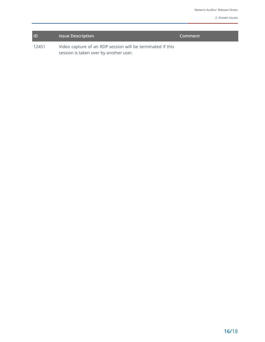| ID    | <b>Issue Description</b>                                   | Comment |
|-------|------------------------------------------------------------|---------|
| 12451 | Video capture of an RDP session will be terminated if this |         |
|       | session is taken over by another user.                     |         |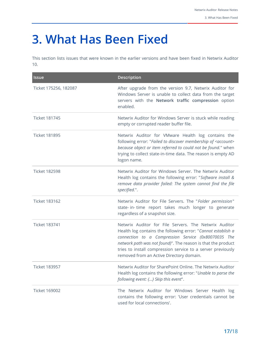## <span id="page-16-0"></span>**3. What Has Been Fixed**

This section lists issues that were known in the earlier versions and have been fixed in Netwrix Auditor 10.

| <b>Issue</b>          | <b>Description</b>                                                                                                                                                                                                                                                                                                                                      |
|-----------------------|---------------------------------------------------------------------------------------------------------------------------------------------------------------------------------------------------------------------------------------------------------------------------------------------------------------------------------------------------------|
| Ticket 175256, 182087 | After upgrade from the version 9.7, Netwrix Auditor for<br>Windows Server is unable to collect data from the target<br>servers with the Network traffic compression option<br>enabled.                                                                                                                                                                  |
| <b>Ticket 181745</b>  | Netwrix Auditor for Windows Server is stuck while reading<br>empty or corrupted reader buffer file.                                                                                                                                                                                                                                                     |
| <b>Ticket 181895</b>  | Netwrix Auditor for VMware Health log contains the<br>following error: "Failed to discover membership of <account><br/>because object or item referred to could not be found." when<br/>trying to collect state-in-time data. The reason is empty AD<br/>logon name.</account>                                                                          |
| <b>Ticket 182598</b>  | Netwrix Auditor for Windows Server. The Netwrix Auditor<br>Health log contains the following error: "Software install &<br>remove data provider failed: The system cannot find the file<br>specified.".                                                                                                                                                 |
| <b>Ticket 183162</b>  | Netwrix Auditor for File Servers. The "Folder permission"<br>state- in- time report takes much longer to generate<br>regardless of a snapshot size.                                                                                                                                                                                                     |
| <b>Ticket 183741</b>  | Netwrix Auditor for File Servers. The Netwrix Auditor<br>Health log contains the following error: "Cannot establish a<br>connection to a Compression Service (0x80070035 The<br>network path was not found)". The reason is that the product<br>tries to install compression service to a server previously<br>removed from an Active Directory domain. |
| <b>Ticket 183957</b>  | Netwrix Auditor for SharePoint Online. The Netwrix Auditor<br>Health log contains the following error: "Unable to parse the<br>following event: {} Skip this event".                                                                                                                                                                                    |
| <b>Ticket 169002</b>  | The Netwrix Auditor for Windows Server Health log<br>contains the following error: 'User credentials cannot be<br>used for local connections'.                                                                                                                                                                                                          |